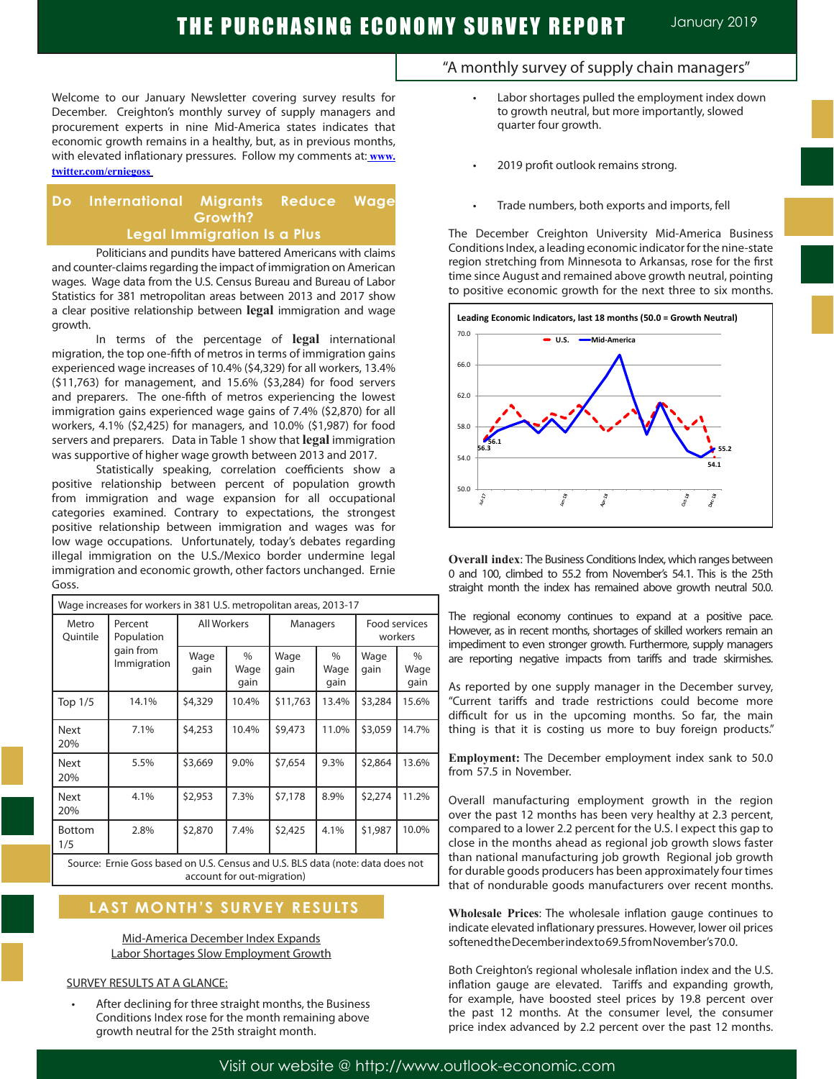Welcome to our January Newsletter covering survey results for December. Creighton's monthly survey of supply managers and procurement experts in nine Mid-America states indicates that economic growth remains in a healthy, but, as in previous months, with elevated inflationary pressures. Follow my comments at: **www. twitter.com/erniegoss**

### **Do International Migrants Reduce Wage Growth? Legal Immigration Is a Plus**

Politicians and pundits have battered Americans with claims and counter-claims regarding the impact of immigration on American wages. Wage data from the U.S. Census Bureau and Bureau of Labor Statistics for 381 metropolitan areas between 2013 and 2017 show a clear positive relationship between **legal** immigration and wage growth.

In terms of the percentage of **legal** international migration, the top one-fifth of metros in terms of immigration gains experienced wage increases of 10.4% (\$4,329) for all workers, 13.4% (\$11,763) for management, and 15.6% (\$3,284) for food servers and preparers. The one-fifth of metros experiencing the lowest immigration gains experienced wage gains of 7.4% (\$2,870) for all workers, 4.1% (\$2,425) for managers, and 10.0% (\$1,987) for food servers and preparers. Data in Table 1 show that **legal** immigration was supportive of higher wage growth between 2013 and 2017.

Statistically speaking, correlation coefficients show a positive relationship between percent of population growth from immigration and wage expansion for all occupational categories examined. Contrary to expectations, the strongest positive relationship between immigration and wages was for low wage occupations. Unfortunately, today's debates regarding illegal immigration on the U.S./Mexico border undermine legal immigration and economic growth, other factors unchanged. Ernie Goss.

| Wage increases for workers in 381 U.S. metropolitan areas, 2013-17 |                                                   |                    |                      |              |                      |                          |                      |
|--------------------------------------------------------------------|---------------------------------------------------|--------------------|----------------------|--------------|----------------------|--------------------------|----------------------|
| Metro<br>Quintile                                                  | Percent<br>Population<br>gain from<br>Immigration | <b>All Workers</b> |                      | Managers     |                      | Food services<br>workers |                      |
|                                                                    |                                                   | Wage<br>gain       | $\%$<br>Wage<br>gain | Wage<br>gain | $\%$<br>Wage<br>gain | Wage<br>gain             | $\%$<br>Wage<br>gain |
| Top 1/5                                                            | 14.1%                                             | \$4,329            | 10.4%                | \$11,763     | 13.4%                | \$3,284                  | 15.6%                |
| <b>Next</b><br>20%                                                 | 7.1%                                              | \$4,253            | 10.4%                | \$9,473      | 11.0%                | \$3,059                  | 14.7%                |
| <b>Next</b><br>20%                                                 | 5.5%                                              | \$3,669            | 9.0%                 | \$7,654      | 9.3%                 | \$2,864                  | 13.6%                |
| <b>Next</b><br>20%                                                 | 4.1%                                              | \$2,953            | 7.3%                 | \$7,178      | 8.9%                 | \$2,274                  | 11.2%                |
| <b>Bottom</b><br>1/5                                               | 2.8%                                              | \$2,870            | 7.4%                 | \$2,425      | 4.1%                 | \$1,987                  | 10.0%                |
|                                                                    |                                                   |                    |                      |              |                      |                          |                      |

Source: Ernie Goss based on U.S. Census and U.S. BLS data (note: data does not account for out-migration)

# **LAST MONTH'S SURVEY RESULTS**

Mid-America December Index Expands Labor Shortages Slow Employment Growth

### SURVEY RESULTS AT A GLANCE:

Ī

After declining for three straight months, the Business Conditions Index rose for the month remaining above growth neutral for the 25th straight month.

# "A monthly survey of supply chain managers"

- Labor shortages pulled the employment index down to growth neutral, but more importantly, slowed quarter four growth.
- 2019 profit outlook remains strong.
- Trade numbers, both exports and imports, fell

The December Creighton University Mid-America Business Conditions Index, a leading economic indicator for the nine-state region stretching from Minnesota to Arkansas, rose for the first time since August and remained above growth neutral, pointing to positive economic growth for the next three to six months.



**Overall index**: The Business Conditions Index, which ranges between 0 and 100, climbed to 55.2 from November's 54.1. This is the 25th straight month the index has remained above growth neutral 50.0.

The regional economy continues to expand at a positive pace. However, as in recent months, shortages of skilled workers remain an impediment to even stronger growth. Furthermore, supply managers are reporting negative impacts from tariffs and trade skirmishes.

As reported by one supply manager in the December survey, "Current tariffs and trade restrictions could become more difficult for us in the upcoming months. So far, the main thing is that it is costing us more to buy foreign products."

**Employment:** The December employment index sank to 50.0 from 57.5 in November.

Overall manufacturing employment growth in the region over the past 12 months has been very healthy at 2.3 percent, compared to a lower 2.2 percent for the U.S. I expect this gap to close in the months ahead as regional job growth slows faster than national manufacturing job growth Regional job growth for durable goods producers has been approximately four times that of nondurable goods manufacturers over recent months.

**Wholesale Prices**: The wholesale inflation gauge continues to indicate elevated inflationary pressures. However, lower oil prices softened the December index to 69.5 from November's 70.0. .

Both Creighton's regional wholesale inflation index and the U.S. inflation gauge are elevated. Tariffs and expanding growth, for example, have boosted steel prices by 19.8 percent over the past 12 months. At the consumer level, the consumer price index advanced by 2.2 percent over the past 12 months.

Visit our website @ http://www.outlook-economic.com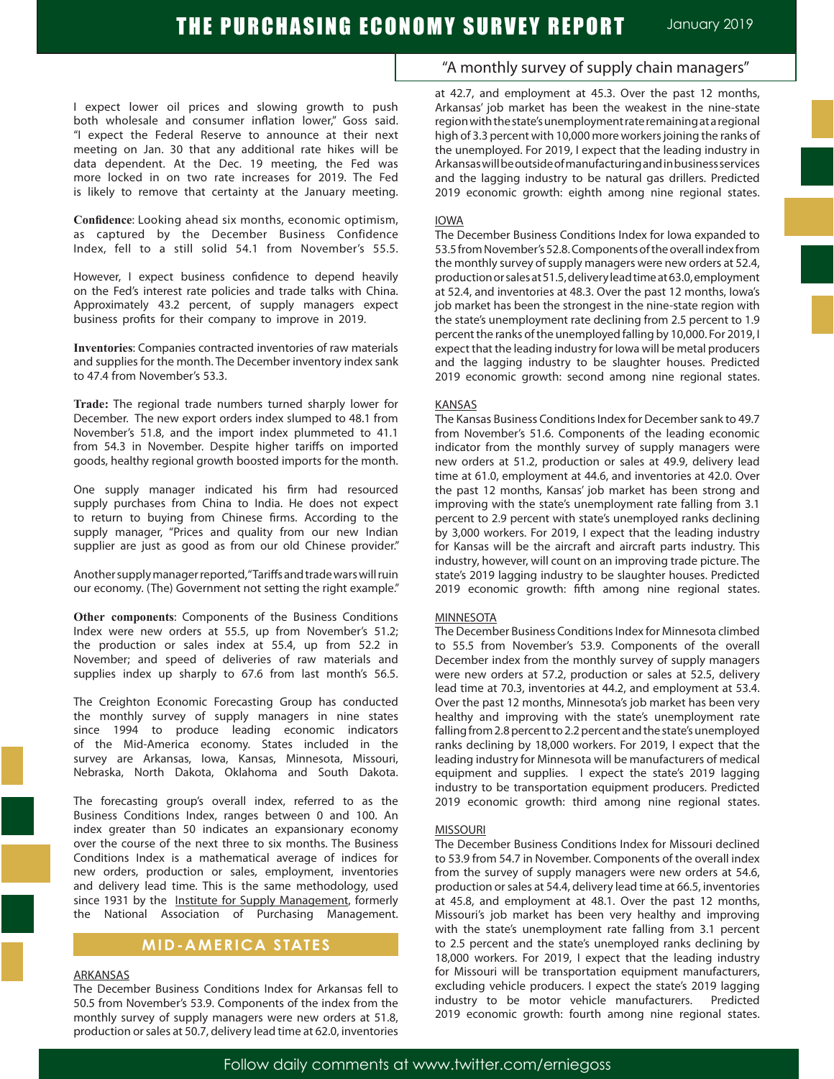I expect lower oil prices and slowing growth to push both wholesale and consumer inflation lower," Goss said. "I expect the Federal Reserve to announce at their next meeting on Jan. 30 that any additional rate hikes will be data dependent. At the Dec. 19 meeting, the Fed was more locked in on two rate increases for 2019. The Fed is likely to remove that certainty at the January meeting.

**Confidence**: Looking ahead six months, economic optimism, as captured by the December Business Confidence Index, fell to a still solid 54.1 from November's 55.5.

However, I expect business confidence to depend heavily on the Fed's interest rate policies and trade talks with China. Approximately 43.2 percent, of supply managers expect business profits for their company to improve in 2019.

**Inventories**: Companies contracted inventories of raw materials and supplies for the month. The December inventory index sank to 47.4 from November's 53.3.

**Trade:** The regional trade numbers turned sharply lower for December. The new export orders index slumped to 48.1 from November's 51.8, and the import index plummeted to 41.1 from 54.3 in November. Despite higher tariffs on imported goods, healthy regional growth boosted imports for the month.

One supply manager indicated his firm had resourced supply purchases from China to India. He does not expect to return to buying from Chinese firms. According to the supply manager, "Prices and quality from our new Indian supplier are just as good as from our old Chinese provider."

Another supply manager reported, "Tariffs and trade wars will ruin our economy. (The) Government not setting the right example."

**Other components**: Components of the Business Conditions Index were new orders at 55.5, up from November's 51.2; the production or sales index at 55.4, up from 52.2 in November; and speed of deliveries of raw materials and supplies index up sharply to 67.6 from last month's 56.5.

The Creighton Economic Forecasting Group has conducted the monthly survey of supply managers in nine states since 1994 to produce leading economic indicators of the Mid-America economy. States included in the survey are Arkansas, Iowa, Kansas, Minnesota, Missouri, Nebraska, North Dakota, Oklahoma and South Dakota.

The forecasting group's overall index, referred to as the Business Conditions Index, ranges between 0 and 100. An index greater than 50 indicates an expansionary economy over the course of the next three to six months. The Business Conditions Index is a mathematical average of indices for new orders, production or sales, employment, inventories and delivery lead time. This is the same methodology, used since 1931 by the Institute for Supply Management, formerly the National Association of Purchasing Management.

### **MID-AMERICA STATES**

#### ARKANSAS

The December Business Conditions Index for Arkansas fell to 50.5 from November's 53.9. Components of the index from the monthly survey of supply managers were new orders at 51.8, production or sales at 50.7, delivery lead time at 62.0, inventories

### "A monthly survey of supply chain managers"

at 42.7, and employment at 45.3. Over the past 12 months, Arkansas' job market has been the weakest in the nine-state region with the state's unemployment rate remaining at a regional high of 3.3 percent with 10,000 more workers joining the ranks of the unemployed. For 2019, I expect that the leading industry in Arkansas will be outside of manufacturing and in business services and the lagging industry to be natural gas drillers. Predicted 2019 economic growth: eighth among nine regional states.

#### IOWA

The December Business Conditions Index for Iowa expanded to 53.5 from November's 52.8. Components of the overall index from the monthly survey of supply managers were new orders at 52.4, production or sales at 51.5, delivery lead time at 63.0, employment at 52.4, and inventories at 48.3. Over the past 12 months, Iowa's job market has been the strongest in the nine-state region with the state's unemployment rate declining from 2.5 percent to 1.9 percent the ranks of the unemployed falling by 10,000. For 2019, I expect that the leading industry for Iowa will be metal producers and the lagging industry to be slaughter houses. Predicted 2019 economic growth: second among nine regional states.

#### **KANSAS**

The Kansas Business Conditions Index for December sank to 49.7 from November's 51.6. Components of the leading economic indicator from the monthly survey of supply managers were new orders at 51.2, production or sales at 49.9, delivery lead time at 61.0, employment at 44.6, and inventories at 42.0. Over the past 12 months, Kansas' job market has been strong and improving with the state's unemployment rate falling from 3.1 percent to 2.9 percent with state's unemployed ranks declining by 3,000 workers. For 2019, I expect that the leading industry for Kansas will be the aircraft and aircraft parts industry. This industry, however, will count on an improving trade picture. The state's 2019 lagging industry to be slaughter houses. Predicted 2019 economic growth: fifth among nine regional states.

#### MINNESOTA

The December Business Conditions Index for Minnesota climbed to 55.5 from November's 53.9. Components of the overall December index from the monthly survey of supply managers were new orders at 57.2, production or sales at 52.5, delivery lead time at 70.3, inventories at 44.2, and employment at 53.4. Over the past 12 months, Minnesota's job market has been very healthy and improving with the state's unemployment rate falling from 2.8 percent to 2.2 percent and the state's unemployed ranks declining by 18,000 workers. For 2019, I expect that the leading industry for Minnesota will be manufacturers of medical equipment and supplies. I expect the state's 2019 lagging industry to be transportation equipment producers. Predicted 2019 economic growth: third among nine regional states.

#### MISSOURI

The December Business Conditions Index for Missouri declined to 53.9 from 54.7 in November. Components of the overall index from the survey of supply managers were new orders at 54.6, production or sales at 54.4, delivery lead time at 66.5, inventories at 45.8, and employment at 48.1. Over the past 12 months, Missouri's job market has been very healthy and improving with the state's unemployment rate falling from 3.1 percent to 2.5 percent and the state's unemployed ranks declining by 18,000 workers. For 2019, I expect that the leading industry for Missouri will be transportation equipment manufacturers, excluding vehicle producers. I expect the state's 2019 lagging industry to be motor vehicle manufacturers. Predicted 2019 economic growth: fourth among nine regional states.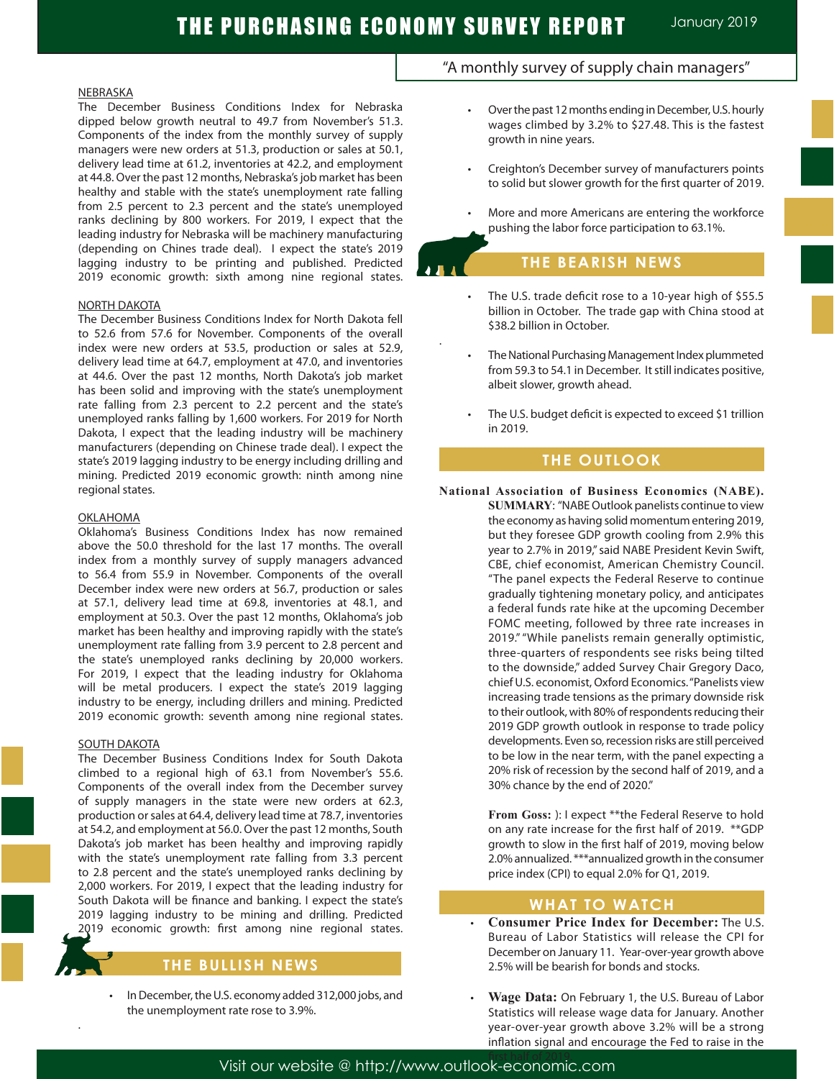Ī

.

#### NEBRASKA

The December Business Conditions Index for Nebraska dipped below growth neutral to 49.7 from November's 51.3. Components of the index from the monthly survey of supply managers were new orders at 51.3, production or sales at 50.1, delivery lead time at 61.2, inventories at 42.2, and employment at 44.8. Over the past 12 months, Nebraska's job market has been healthy and stable with the state's unemployment rate falling from 2.5 percent to 2.3 percent and the state's unemployed ranks declining by 800 workers. For 2019, I expect that the leading industry for Nebraska will be machinery manufacturing (depending on Chines trade deal). I expect the state's 2019 lagging industry to be printing and published. Predicted 2019 economic growth: sixth among nine regional states.

#### NORTH DAKOTA

The December Business Conditions Index for North Dakota fell to 52.6 from 57.6 for November. Components of the overall index were new orders at 53.5, production or sales at 52.9, delivery lead time at 64.7, employment at 47.0, and inventories at 44.6. Over the past 12 months, North Dakota's job market has been solid and improving with the state's unemployment rate falling from 2.3 percent to 2.2 percent and the state's unemployed ranks falling by 1,600 workers. For 2019 for North Dakota, I expect that the leading industry will be machinery manufacturers (depending on Chinese trade deal). I expect the state's 2019 lagging industry to be energy including drilling and mining. Predicted 2019 economic growth: ninth among nine regional states.

#### OKLAHOMA

Oklahoma's Business Conditions Index has now remained above the 50.0 threshold for the last 17 months. The overall index from a monthly survey of supply managers advanced to 56.4 from 55.9 in November. Components of the overall December index were new orders at 56.7, production or sales at 57.1, delivery lead time at 69.8, inventories at 48.1, and employment at 50.3. Over the past 12 months, Oklahoma's job market has been healthy and improving rapidly with the state's unemployment rate falling from 3.9 percent to 2.8 percent and the state's unemployed ranks declining by 20,000 workers. For 2019, I expect that the leading industry for Oklahoma will be metal producers. I expect the state's 2019 lagging industry to be energy, including drillers and mining. Predicted 2019 economic growth: seventh among nine regional states.

#### SOUTH DAKOTA

.

The December Business Conditions Index for South Dakota climbed to a regional high of 63.1 from November's 55.6. Components of the overall index from the December survey of supply managers in the state were new orders at 62.3, production or sales at 64.4, delivery lead time at 78.7, inventories at 54.2, and employment at 56.0. Over the past 12 months, South Dakota's job market has been healthy and improving rapidly with the state's unemployment rate falling from 3.3 percent to 2.8 percent and the state's unemployed ranks declining by 2,000 workers. For 2019, I expect that the leading industry for South Dakota will be finance and banking. I expect the state's 2019 lagging industry to be mining and drilling. Predicted 2019 economic growth: first among nine regional states.

### **THE BULLISH NEWS**

In December, the U.S. economy added 312,000 jobs, and the unemployment rate rose to 3.9%.

### "A monthly survey of supply chain managers"

- Over the past 12 months ending in December, U.S. hourly wages climbed by 3.2% to \$27.48. This is the fastest growth in nine years.
- Creighton's December survey of manufacturers points to solid but slower growth for the first quarter of 2019.
- More and more Americans are entering the workforce pushing the labor force participation to 63.1%.

# **THE BEARISH NEWS**

- The U.S. trade deficit rose to a 10-year high of \$55.5 billion in October. The trade gap with China stood at \$38.2 billion in October.
- The National Purchasing Management Index plummeted from 59.3 to 54.1 in December. It still indicates positive, albeit slower, growth ahead.
- The U.S. budget deficit is expected to exceed \$1 trillion in 2019.

### **THE OUTLOOK**

**National Association of Business Economics (NABE). SUMMARY**: "NABE Outlook panelists continue to view the economy as having solid momentum entering 2019, but they foresee GDP growth cooling from 2.9% this year to 2.7% in 2019," said NABE President Kevin Swift, CBE, chief economist, American Chemistry Council. "The panel expects the Federal Reserve to continue gradually tightening monetary policy, and anticipates a federal funds rate hike at the upcoming December FOMC meeting, followed by three rate increases in 2019." "While panelists remain generally optimistic, three-quarters of respondents see risks being tilted to the downside," added Survey Chair Gregory Daco, chief U.S. economist, Oxford Economics. "Panelists view increasing trade tensions as the primary downside risk to their outlook, with 80% of respondents reducing their 2019 GDP growth outlook in response to trade policy developments. Even so, recession risks are still perceived to be low in the near term, with the panel expecting a 20% risk of recession by the second half of 2019, and a 30% chance by the end of 2020."

> **From Goss:** ): I expect \*\*the Federal Reserve to hold on any rate increase for the first half of 2019. \*\*GDP growth to slow in the first half of 2019, moving below 2.0% annualized. \*\*\*annualized growth in the consumer price index (CPI) to equal 2.0% for Q1, 2019.

### **WHAT TO WATCH**

- **Consumer Price Index for December:** The U.S. Bureau of Labor Statistics will release the CPI for December on January 11. Year-over-year growth above 2.5% will be bearish for bonds and stocks.
- **Wage Data:** On February 1, the U.S. Bureau of Labor Statistics will release wage data for January. Another year-over-year growth above 3.2% will be a strong inflation signal and encourage the Fed to raise in the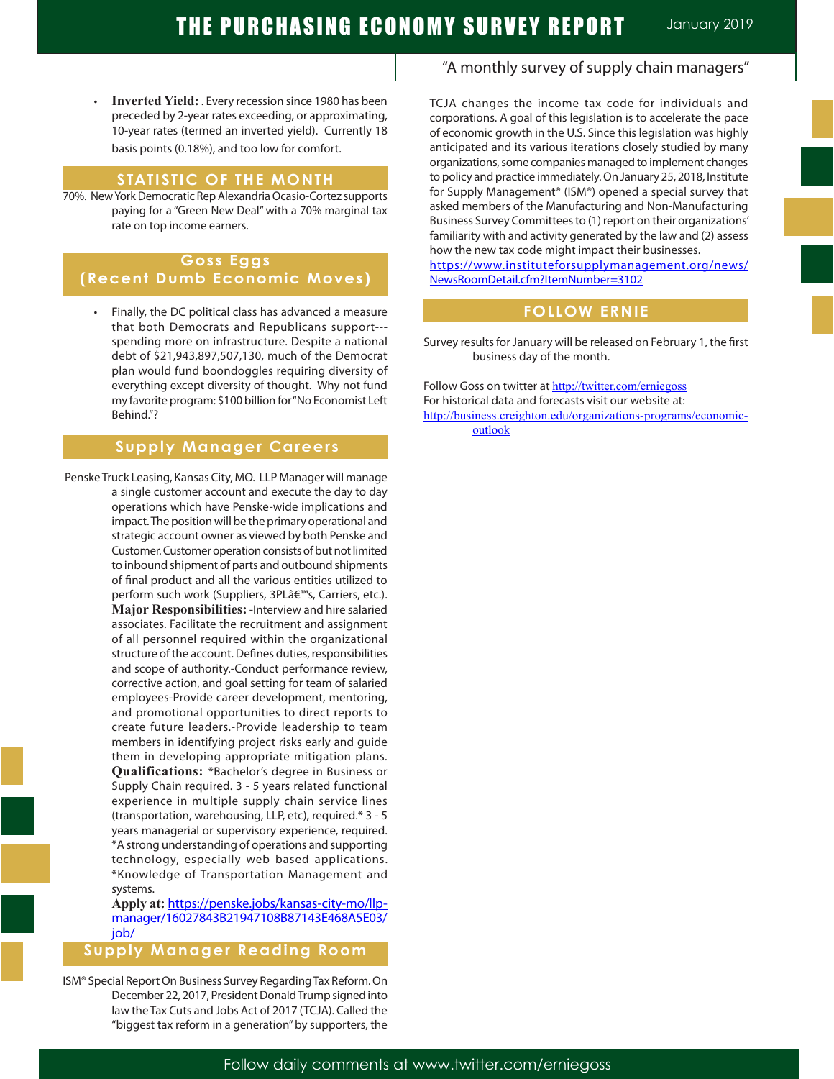**Inverted Yield:** . Every recession since 1980 has been preceded by 2-year rates exceeding, or approximating, 10-year rates (termed an inverted yield). Currently 18 basis points (0.18%), and too low for comfort.

### **STATISTIC OF THE MONTH**

70%. New York Democratic Rep Alexandria Ocasio-Cortez supports paying for a "Green New Deal" with a 70% marginal tax rate on top income earners.

# **Goss Eggs (Recent Dumb Economic Moves)**

 • Finally, the DC political class has advanced a measure that both Democrats and Republicans support-- spending more on infrastructure. Despite a national debt of \$21,943,897,507,130, much of the Democrat plan would fund boondoggles requiring diversity of everything except diversity of thought. Why not fund my favorite program: \$100 billion for "No Economist Left Behind."?

# **Supply Manager Careers**

 Penske Truck Leasing, Kansas City, MO. LLP Manager will manage a single customer account and execute the day to day operations which have Penske-wide implications and impact. The position will be the primary operational and strategic account owner as viewed by both Penske and Customer. Customer operation consists of but not limited to inbound shipment of parts and outbound shipments of final product and all the various entities utilized to perform such work (Suppliers, 3PLâ€<sup>™</sup>s, Carriers, etc.). **Major Responsibilities:** -Interview and hire salaried associates. Facilitate the recruitment and assignment of all personnel required within the organizational structure of the account. Defines duties, responsibilities and scope of authority.-Conduct performance review, corrective action, and goal setting for team of salaried employees-Provide career development, mentoring, and promotional opportunities to direct reports to create future leaders.-Provide leadership to team members in identifying project risks early and guide them in developing appropriate mitigation plans. **Qualifications:** \*Bachelor's degree in Business or Supply Chain required. 3 - 5 years related functional experience in multiple supply chain service lines (transportation, warehousing, LLP, etc), required.\* 3 - 5 years managerial or supervisory experience, required. \*A strong understanding of operations and supporting technology, especially web based applications. \*Knowledge of Transportation Management and systems.

> **Apply at:** https://penske.jobs/kansas-city-mo/llpmanager/16027843B21947108B87143E468A5E03/ job/

### **Supply Manager Reading Room**

ISM® Special Report On Business Survey Regarding Tax Reform. On December 22, 2017, President Donald Trump signed into law the Tax Cuts and Jobs Act of 2017 (TCJA). Called the "biggest tax reform in a generation" by supporters, the

## "A monthly survey of supply chain managers"

TCJA changes the income tax code for individuals and corporations. A goal of this legislation is to accelerate the pace of economic growth in the U.S. Since this legislation was highly anticipated and its various iterations closely studied by many organizations, some companies managed to implement changes to policy and practice immediately. On January 25, 2018, Institute for Supply Management® (ISM®) opened a special survey that asked members of the Manufacturing and Non-Manufacturing Business Survey Committees to (1) report on their organizations' familiarity with and activity generated by the law and (2) assess how the new tax code might impact their businesses.

https://www.instituteforsupplymanagement.org/news/ NewsRoomDetail.cfm?ItemNumber=3102

# **FOLLOW ERNIE**

Survey results for January will be released on February 1, the first business day of the month.

Follow Goss on twitter at http://twitter.com/erniegoss For historical data and forecasts visit our website at: http://business.creighton.edu/organizations-programs/economicoutlook